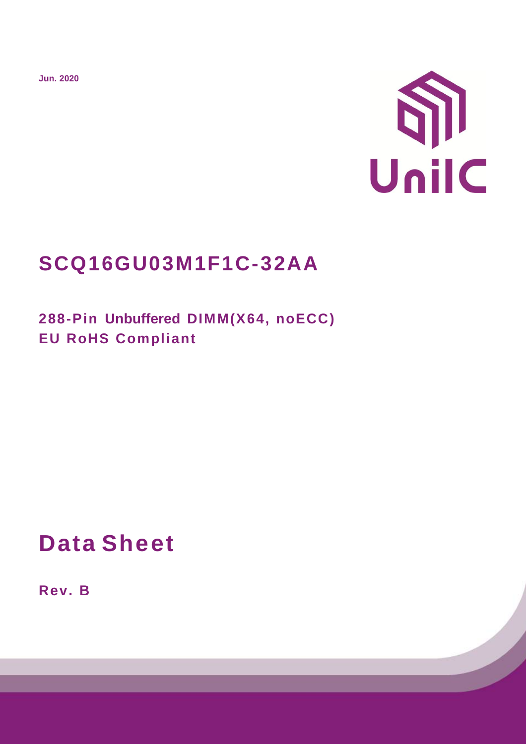**Jun. 2020**



# **SCQ16GU03M1F1C-32AA**

**288-Pin Unbuffered DIMM(X64, noECC) EU RoHS Compliant**

# **Data Sheet**

**Rev. B**

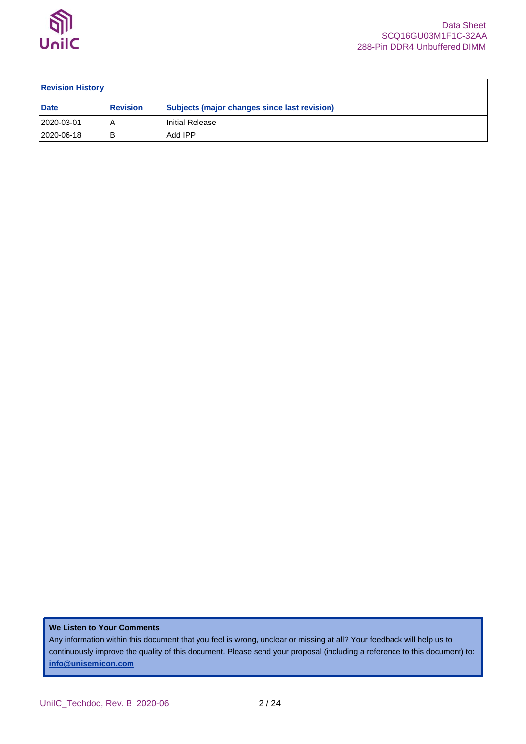

| <b>Revision History</b> |                 |                                                     |  |  |  |  |  |  |  |  |  |
|-------------------------|-----------------|-----------------------------------------------------|--|--|--|--|--|--|--|--|--|
| <b>Date</b>             | <b>Revision</b> | <b>Subjects (major changes since last revision)</b> |  |  |  |  |  |  |  |  |  |
| 2020-03-01              |                 | l Initial Release                                   |  |  |  |  |  |  |  |  |  |
| 2020-06-18              | В               | Add IPP                                             |  |  |  |  |  |  |  |  |  |

#### **We Listen to Your Comments**

Any information within this document that you feel is wrong, unclear or missing at all? Your feedback will help us to continuously improve the quality of this document. Please send your proposal (including a reference to this document) to: **[info@unisemicon.com](mailto:info@scsemicon.com)**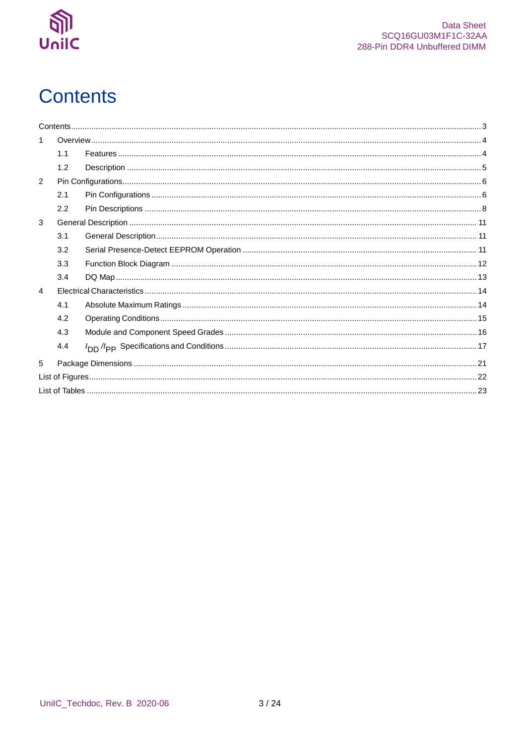

# <span id="page-2-0"></span>**Contents**

|               | 1.1 |  |
|---------------|-----|--|
|               | 1.2 |  |
| $\mathcal{P}$ |     |  |
|               | 2.1 |  |
|               | 2.2 |  |
| 3             |     |  |
|               | 3.1 |  |
|               | 3.2 |  |
|               | 3.3 |  |
|               | 3.4 |  |
| 4             |     |  |
|               | 4.1 |  |
|               | 4.2 |  |
|               | 4.3 |  |
|               | 4.4 |  |
| 5             |     |  |
|               |     |  |
|               |     |  |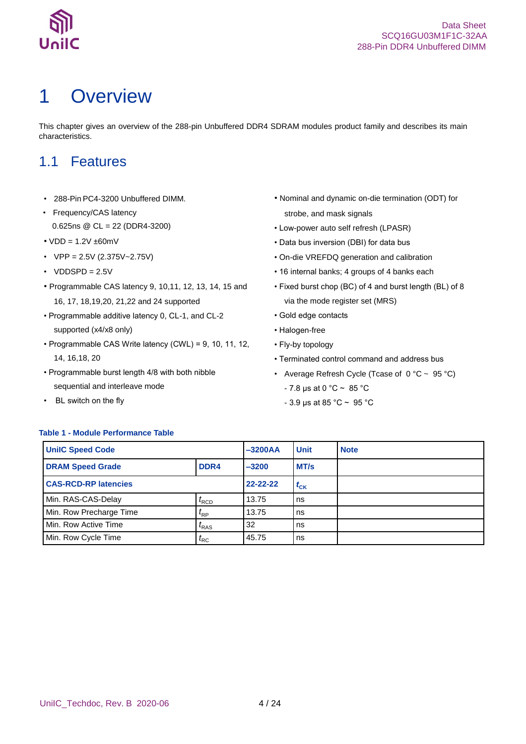

# <span id="page-3-0"></span>1 Overview

This chapter gives an overview of the 288-pin Unbuffered DDR4 SDRAM modules product family and describes its main characteristics.

### <span id="page-3-1"></span>1.1 Features

- 288-Pin PC4-3200 Unbuffered DIMM.
- Frequency/CAS latency 0.625ns @ CL = 22 (DDR4-3200)
- $\cdot$  VDD = 1.2V  $\pm$ 60mV
- $VPP = 2.5V (2.375V 2.75V)$
- $\cdot$  VDDSPD = 2.5V
- Programmable CAS latency 9, 10,11, 12, 13, 14, 15 and 16, 17, 18,19,20, 21,22 and 24 supported
- Programmable additive latency 0, CL-1, and CL-2 supported (x4/x8 only)
- Programmable CAS Write latency (CWL) = 9, 10, 11, 12, 14, 16,18, 20
- Programmable burst length 4/8 with both nibble sequential and interleave mode
- BL switch on the fly
- Nominal and dynamic on-die termination (ODT) for strobe, and mask signals
- Low-power auto self refresh (LPASR)
- Data bus inversion (DBI) for data bus
- On-die VREFDQ generation and calibration
- 16 internal banks; 4 groups of 4 banks each
- Fixed burst chop (BC) of 4 and burst length (BL) of 8 via the mode register set (MRS)
- Gold edge contacts
- Halogen-free
- Fly-by topology
- Terminated control command and address bus
- Average Refresh Cycle (Tcase of  $0^{\circ}$ C ~ 95 °C)
	- $7.8 \,\mu s$  at 0 °C ~ 85 °C
	- 3.9 μs at 85 °C ~ 95 °C

### <span id="page-3-2"></span>**Table 1 - Module Performance Table**

| <b>UniIC Speed Code</b>     |                   | $-3200AA$      | <b>Unit</b> | <b>Note</b> |
|-----------------------------|-------------------|----------------|-------------|-------------|
| <b>DRAM Speed Grade</b>     | DDR4              | $-3200$        | MT/s        |             |
| <b>CAS-RCD-RP latencies</b> |                   | $22 - 22 - 22$ | $t_{CK}$    |             |
| Min. RAS-CAS-Delay          | $I_{\text{RCD}}$  | 13.75          | ns          |             |
| Min. Row Precharge Time     | $t_{\mathsf{RP}}$ | 13.75          | ns          |             |
| Min. Row Active Time        | $t_{RAS}$         | 32             | ns          |             |
| Min. Row Cycle Time         | $t_{\sf RC}$      | 45.75          | ns          |             |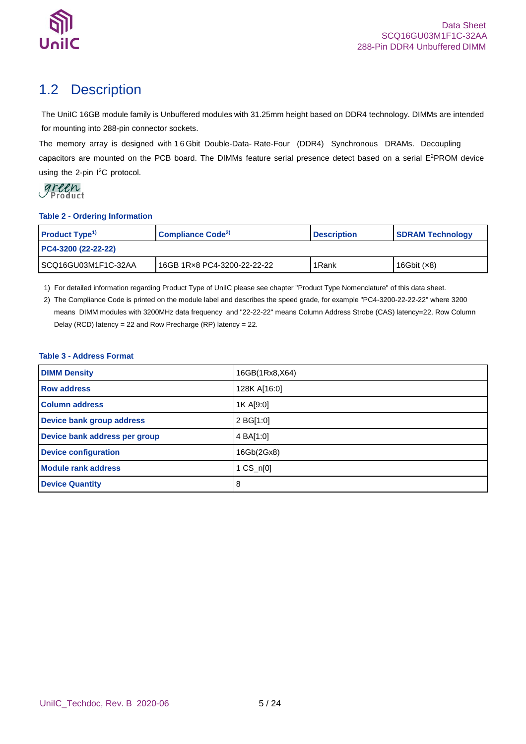

## <span id="page-4-0"></span>1.2 Description

The UniIC 16GB module family is Unbuffered modules with 31.25mm height based on DDR4 technology. DIMMs are intended for mounting into 288-pin connector sockets.

The memory array is designed with 1 6 Gbit Double-Data- Rate-Four (DDR4) Synchronous DRAMs. Decoupling capacitors are mounted on the PCB board. The DIMMs feature serial presence detect based on a serial E <sup>2</sup>PROM device using the 2-pin I<sup>2</sup>C protocol.



#### <span id="page-4-1"></span>**Table 2 - Ordering Information**

| <b>Product Type<sup>1)</sup></b> | Compliance Code <sup>2)</sup> | <b>Description</b> | <b>SDRAM Technology</b> |  |
|----------------------------------|-------------------------------|--------------------|-------------------------|--|
| PC4-3200 (22-22-22)              |                               |                    |                         |  |
| ISCQ16GU03M1F1C-32AA             | 16GB 1Rx8 PC4-3200-22-22-22   | 1Rank              | 16Gbit $(x8)$           |  |

1) For detailed information regarding Product Type of UniIC please see chapter "Product Type Nomenclature" of this data sheet.

2) The Compliance Code is printed on the module label and describes the speed grade, for example "PC4-3200-22-22-22" where 3200 means DIMM modules with 3200MHz data frequency and "22-22-22" means Column Address Strobe (CAS) latency=22, Row Column Delay (RCD) latency = 22 and Row Precharge (RP) latency = 22.

### <span id="page-4-2"></span>**Table 3 - Address Format**

| <b>DIMM Density</b>           | 16GB(1Rx8,X64) |
|-------------------------------|----------------|
| <b>Row address</b>            | 128K A[16:0]   |
| <b>Column address</b>         | 1K A[9:0]      |
| Device bank group address     | 2 BG[1:0]      |
| Device bank address per group | 4 BA[1:0]      |
| <b>Device configuration</b>   | 16Gb(2Gx8)     |
| <b>Module rank address</b>    | $1 C S_n[0]$   |
| <b>Device Quantity</b>        | 8              |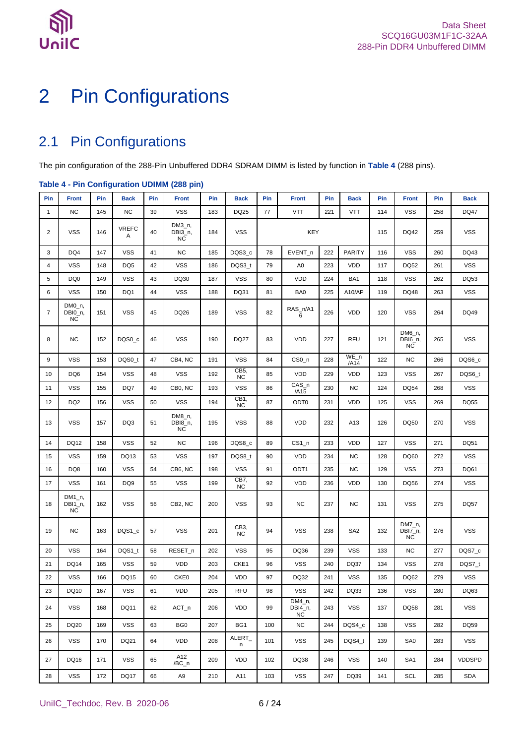



# <span id="page-5-0"></span>2 Pin Configurations

## <span id="page-5-1"></span>2.1 Pin Configurations

The pin configuration of the 288-Pin Unbuffered DDR4 SDRAM DIMM is listed by function in **[Table 4](#page-5-2)** (288 pins).

### <span id="page-5-2"></span>**Table 4 - Pin Configuration UDIMM (288 pin)**

| Pin            | <b>Front</b>                      | Pin | <b>Back</b>       | Pin | <b>Front</b>                      | Pin | <b>Back</b>       | Pin        | <b>Front</b>            | Pin | <b>Back</b>     | Pin  | <b>Front</b>                   | Pin        | <b>Back</b>   |
|----------------|-----------------------------------|-----|-------------------|-----|-----------------------------------|-----|-------------------|------------|-------------------------|-----|-----------------|------|--------------------------------|------------|---------------|
| $\mathbf{1}$   | <b>NC</b>                         | 145 | <b>NC</b>         | 39  | <b>VSS</b>                        | 183 | DQ25              | 77         | <b>VTT</b>              | 221 | <b>VTT</b>      | 114  | <b>VSS</b>                     | 258        | <b>DQ47</b>   |
| 2              | <b>VSS</b>                        | 146 | <b>VREFC</b><br>A | 40  | $DM3_n$ ,<br>DBI3_n,<br><b>NC</b> | 184 | <b>VSS</b>        | <b>KEY</b> |                         |     | 115             | DQ42 | 259                            | <b>VSS</b> |               |
| 3              | DQ4                               | 147 | <b>VSS</b>        | 41  | <b>NC</b>                         | 185 | DQS3_c            | 78         | EVENT_n                 | 222 | <b>PARITY</b>   | 116  | <b>VSS</b>                     | 260        | DQ43          |
| 4              | <b>VSS</b>                        | 148 | DQ <sub>5</sub>   | 42  | <b>VSS</b>                        | 186 | DQS3_t            | 79         | A <sub>0</sub>          | 223 | VDD             | 117  | <b>DQ52</b>                    | 261        | <b>VSS</b>    |
| 5              | DQ <sub>0</sub>                   | 149 | <b>VSS</b>        | 43  | DQ30                              | 187 | <b>VSS</b>        | 80         | VDD                     | 224 | BA1             | 118  | <b>VSS</b>                     | 262        | DQ53          |
| 6              | <b>VSS</b>                        | 150 | DQ1               | 44  | <b>VSS</b>                        | 188 | DQ31              | 81         | BA0                     | 225 | A10/AP          | 119  | DQ48                           | 263        | <b>VSS</b>    |
| $\overline{7}$ | $DMO_n$ ,<br>DBI0_n,<br><b>NC</b> | 151 | <b>VSS</b>        | 45  | DQ26                              | 189 | <b>VSS</b>        | 82         | RAS_n/A1<br>6           | 226 | VDD             | 120  | <b>VSS</b>                     | 264        | DQ49          |
| 8              | <b>NC</b>                         | 152 | DQS0_c            | 46  | <b>VSS</b>                        | 190 | <b>DQ27</b>       | 83         | VDD                     | 227 | <b>RFU</b>      | 121  | DM6_n,<br>DBI6_n,<br><b>NC</b> | 265        | <b>VSS</b>    |
| 9              | <b>VSS</b>                        | 153 | DQS0_t            | 47  | CB4, NC                           | 191 | <b>VSS</b>        | 84         | CS <sub>0</sub> n       | 228 | $WE_n$<br>/A14  | 122  | <b>NC</b>                      | 266        | DQS6_c        |
| 10             | DQ6                               | 154 | <b>VSS</b>        | 48  | <b>VSS</b>                        | 192 | CB5,<br><b>NC</b> | 85         | VDD                     | 229 | <b>VDD</b>      | 123  | <b>VSS</b>                     | 267        | DQS6_t        |
| 11             | <b>VSS</b>                        | 155 | DQ7               | 49  | CB0. NC                           | 193 | <b>VSS</b>        | 86         | CAS_n<br>/A15           | 230 | <b>NC</b>       | 124  | <b>DQ54</b>                    | 268        | <b>VSS</b>    |
| 12             | DQ <sub>2</sub>                   | 156 | <b>VSS</b>        | 50  | <b>VSS</b>                        | 194 | CB1,<br><b>NC</b> | 87         | ODT <sub>0</sub>        | 231 | VDD             | 125  | <b>VSS</b>                     | 269        | DQ55          |
| 13             | <b>VSS</b>                        | 157 | DQ3               | 51  | DM8_n,<br>DBI8_n,<br><b>NC</b>    | 195 | <b>VSS</b>        | 88         | VDD                     | 232 | A13             | 126  | DQ50                           | 270        | <b>VSS</b>    |
| 14             | DQ12                              | 158 | <b>VSS</b>        | 52  | <b>NC</b>                         | 196 | DQS8_c            | 89         | $CS1_n$                 | 233 | <b>VDD</b>      | 127  | <b>VSS</b>                     | 271        | DQ51          |
| 15             | <b>VSS</b>                        | 159 | DQ13              | 53  | <b>VSS</b>                        | 197 | DQS8_t            | 90         | VDD                     | 234 | <b>NC</b>       | 128  | DQ60                           | 272        | <b>VSS</b>    |
| 16             | DQ8                               | 160 | <b>VSS</b>        | 54  | CB6, NC                           | 198 | <b>VSS</b>        | 91         | ODT <sub>1</sub>        | 235 | <b>NC</b>       | 129  | <b>VSS</b>                     | 273        | DQ61          |
| 17             | <b>VSS</b>                        | 161 | DQ <sub>9</sub>   | 55  | <b>VSS</b>                        | 199 | CB7,<br><b>NC</b> | 92         | VDD                     | 236 | VDD             | 130  | DQ56                           | 274        | <b>VSS</b>    |
| 18             | $DM1_n$<br>DBI1_n,<br><b>NC</b>   | 162 | <b>VSS</b>        | 56  | CB <sub>2</sub> , NC              | 200 | <b>VSS</b>        | 93         | <b>NC</b>               | 237 | <b>NC</b>       | 131  | <b>VSS</b>                     | 275        | DQ57          |
| 19             | <b>NC</b>                         | 163 | DQS1_c            | 57  | <b>VSS</b>                        | 201 | CB3,<br><b>NC</b> | 94         | <b>VSS</b>              | 238 | SA <sub>2</sub> | 132  | DM7_n,<br>DBI7_n,<br><b>NC</b> | 276        | <b>VSS</b>    |
| 20             | <b>VSS</b>                        | 164 | DQS1_t            | 58  | RESET_n                           | 202 | <b>VSS</b>        | 95         | DQ36                    | 239 | <b>VSS</b>      | 133  | <b>NC</b>                      | 277        | DQS7_c        |
| 21             | <b>DQ14</b>                       | 165 | <b>VSS</b>        | 59  | <b>VDD</b>                        | 203 | CKE1              | 96         | <b>VSS</b>              | 240 | <b>DQ37</b>     | 134  | <b>VSS</b>                     | 278        | DQS7_t        |
| 22             | <b>VSS</b>                        | 166 | DQ15              | 60  | CKE0                              | 204 | VDD               | 97         | DQ32                    | 241 | <b>VSS</b>      | 135  | DQ62                           | 279        | <b>VSS</b>    |
| 23             | DQ10                              | 167 | <b>VSS</b>        | 61  | <b>VDD</b>                        | 205 | <b>RFU</b>        | 98         | <b>VSS</b>              | 242 | DQ33            | 136  | <b>VSS</b>                     | 280        | DQ63          |
| 24             | <b>VSS</b>                        | 168 | DQ11              | 62  | $ACT_n$                           | 206 | VDD               | 99         | DM4_n,<br>DBI4_n,<br>NC | 243 | <b>VSS</b>      | 137  | <b>DQ58</b>                    | 281        | <b>VSS</b>    |
| 25             | DQ20                              | 169 | <b>VSS</b>        | 63  | BG <sub>0</sub>                   | 207 | BG1               | 100        | NC                      | 244 | DQS4_c          | 138  | <b>VSS</b>                     | 282        | DQ59          |
| 26             | <b>VSS</b>                        | 170 | DQ21              | 64  | <b>VDD</b>                        | 208 | ALERT_<br>n       | 101        | <b>VSS</b>              | 245 | DQS4 t          | 139  | SA0                            | 283        | <b>VSS</b>    |
| 27             | DQ16                              | 171 | <b>VSS</b>        | 65  | A12<br>/BC_n                      | 209 | VDD               | 102        | DQ38                    | 246 | <b>VSS</b>      | 140  | SA <sub>1</sub>                | 284        | <b>VDDSPD</b> |
| 28             | <b>VSS</b>                        | 172 | <b>DQ17</b>       | 66  | A9                                | 210 | A11               | 103        | <b>VSS</b>              | 247 | DQ39            | 141  | SCL                            | 285        | <b>SDA</b>    |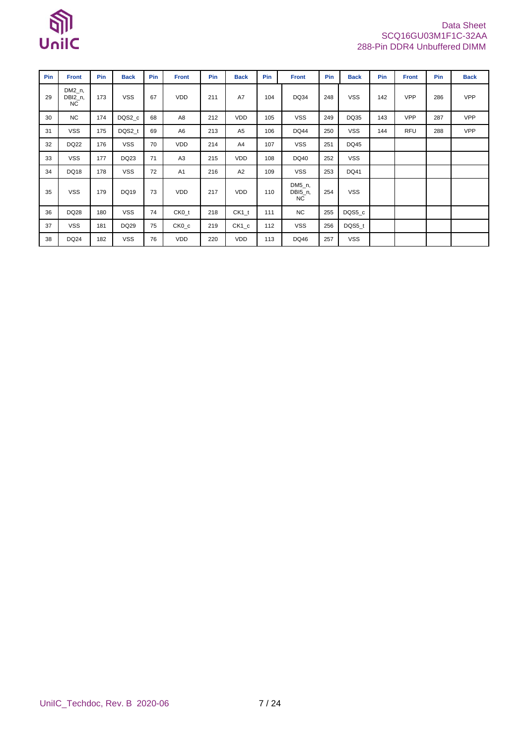

### Data Sheet SCQ16GU03M1F1C-32AA 288-Pin DDR4 Unbuffered DIMM

| Pin | <b>Front</b>                    | Pin | <b>Back</b> | Pin | <b>Front</b>   | Pin | <b>Back</b>    | Pin | <b>Front</b>                   | Pin | <b>Back</b> | Pin | <b>Front</b> | Pin | <b>Back</b> |
|-----|---------------------------------|-----|-------------|-----|----------------|-----|----------------|-----|--------------------------------|-----|-------------|-----|--------------|-----|-------------|
| 29  | $DM2_n$<br>DBI2_n,<br><b>NC</b> | 173 | <b>VSS</b>  | 67  | <b>VDD</b>     | 211 | A7             | 104 | DQ34                           | 248 | <b>VSS</b>  | 142 | <b>VPP</b>   | 286 | <b>VPP</b>  |
| 30  | <b>NC</b>                       | 174 | DQS2_c      | 68  | A8             | 212 | VDD            | 105 | <b>VSS</b>                     | 249 | DQ35        | 143 | <b>VPP</b>   | 287 | <b>VPP</b>  |
| 31  | <b>VSS</b>                      | 175 | DQS2_t      | 69  | A6             | 213 | A <sub>5</sub> | 106 | <b>DQ44</b>                    | 250 | <b>VSS</b>  | 144 | <b>RFU</b>   | 288 | <b>VPP</b>  |
| 32  | <b>DQ22</b>                     | 176 | <b>VSS</b>  | 70  | VDD            | 214 | A4             | 107 | <b>VSS</b>                     | 251 | DQ45        |     |              |     |             |
| 33  | <b>VSS</b>                      | 177 | DQ23        | 71  | A <sub>3</sub> | 215 | VDD            | 108 | DQ40                           | 252 | <b>VSS</b>  |     |              |     |             |
| 34  | DQ18                            | 178 | <b>VSS</b>  | 72  | A <sub>1</sub> | 216 | A <sub>2</sub> | 109 | <b>VSS</b>                     | 253 | DQ41        |     |              |     |             |
| 35  | <b>VSS</b>                      | 179 | DQ19        | 73  | <b>VDD</b>     | 217 | VDD            | 110 | DM5_n,<br>DBI5_n,<br><b>NC</b> | 254 | <b>VSS</b>  |     |              |     |             |
| 36  | DQ28                            | 180 | <b>VSS</b>  | 74  | $CKO_t$        | 218 | $CK1_t$        | 111 | <b>NC</b>                      | 255 | DQS5_c      |     |              |     |             |
| 37  | <b>VSS</b>                      | 181 | DQ29        | 75  | $CKO_{c}$      | 219 | $CK1_c$        | 112 | <b>VSS</b>                     | 256 | DQS5 t      |     |              |     |             |
| 38  | DQ24                            | 182 | <b>VSS</b>  | 76  | <b>VDD</b>     | 220 | VDD            | 113 | DQ46                           | 257 | <b>VSS</b>  |     |              |     |             |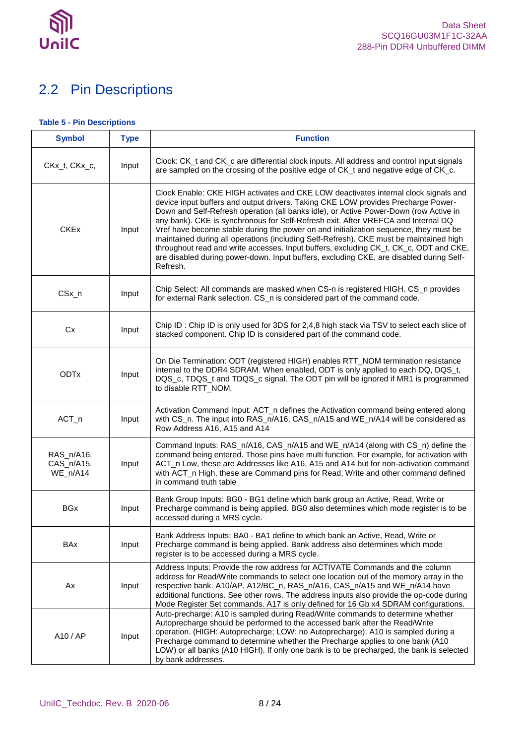

## <span id="page-7-0"></span>2.2 Pin Descriptions

### <span id="page-7-1"></span>**Table 5 - Pin Descriptions**

| <b>Symbol</b>                        | <b>Type</b> | <b>Function</b>                                                                                                                                                                                                                                                                                                                                                                                                                                                                                                                                                                                                                                                                                                                           |
|--------------------------------------|-------------|-------------------------------------------------------------------------------------------------------------------------------------------------------------------------------------------------------------------------------------------------------------------------------------------------------------------------------------------------------------------------------------------------------------------------------------------------------------------------------------------------------------------------------------------------------------------------------------------------------------------------------------------------------------------------------------------------------------------------------------------|
| CKx_t, CKx_c,                        | Input       | Clock: CK t and CK c are differential clock inputs. All address and control input signals<br>are sampled on the crossing of the positive edge of CK_t and negative edge of CK_c.                                                                                                                                                                                                                                                                                                                                                                                                                                                                                                                                                          |
| <b>CKEx</b>                          | Input       | Clock Enable: CKE HIGH activates and CKE LOW deactivates internal clock signals and<br>device input buffers and output drivers. Taking CKE LOW provides Precharge Power-<br>Down and Self-Refresh operation (all banks idle), or Active Power-Down (row Active in<br>any bank). CKE is synchronous for Self-Refresh exit. After VREFCA and Internal DQ<br>Vref have become stable during the power on and initialization sequence, they must be<br>maintained during all operations (including Self-Refresh). CKE must be maintained high<br>throughout read and write accesses. Input buffers, excluding CK_t, CK_c, ODT and CKE,<br>are disabled during power-down. Input buffers, excluding CKE, are disabled during Self-<br>Refresh. |
| CSx_n                                | Input       | Chip Select: All commands are masked when CS-n is registered HIGH. CS_n provides<br>for external Rank selection. CS_n is considered part of the command code.                                                                                                                                                                                                                                                                                                                                                                                                                                                                                                                                                                             |
| Cx                                   | Input       | Chip ID: Chip ID is only used for 3DS for 2,4,8 high stack via TSV to select each slice of<br>stacked component. Chip ID is considered part of the command code.                                                                                                                                                                                                                                                                                                                                                                                                                                                                                                                                                                          |
| <b>ODTx</b>                          | Input       | On Die Termination: ODT (registered HIGH) enables RTT_NOM termination resistance<br>internal to the DDR4 SDRAM. When enabled, ODT is only applied to each DQ, DQS_t,<br>DQS_c, TDQS_t and TDQS_c signal. The ODT pin will be ignored if MR1 is programmed<br>to disable RTT_NOM.                                                                                                                                                                                                                                                                                                                                                                                                                                                          |
| ACT_n                                | Input       | Activation Command Input: ACT_n defines the Activation command being entered along<br>with CS_n. The input into RAS_n/A16, CAS_n/A15 and WE_n/A14 will be considered as<br>Row Address A16, A15 and A14                                                                                                                                                                                                                                                                                                                                                                                                                                                                                                                                   |
| RAS_n/A16.<br>CAS_n/A15.<br>WE_n/A14 | Input       | Command Inputs: RAS_n/A16, CAS_n/A15 and WE_n/A14 (along with CS_n) define the<br>command being entered. Those pins have multi function. For example, for activation with<br>ACT_n Low, these are Addresses like A16, A15 and A14 but for non-activation command<br>with ACT_n High, these are Command pins for Read, Write and other command defined<br>in command truth table                                                                                                                                                                                                                                                                                                                                                           |
| <b>BGx</b>                           | Input       | Bank Group Inputs: BG0 - BG1 define which bank group an Active, Read, Write or<br>Precharge command is being applied. BG0 also determines which mode register is to be<br>accessed during a MRS cycle.                                                                                                                                                                                                                                                                                                                                                                                                                                                                                                                                    |
| <b>BAx</b>                           | Input       | Bank Address Inputs: BA0 - BA1 define to which bank an Active, Read, Write or<br>Precharge command is being applied. Bank address also determines which mode<br>register is to be accessed during a MRS cycle.                                                                                                                                                                                                                                                                                                                                                                                                                                                                                                                            |
| Ax                                   | Input       | Address Inputs: Provide the row address for ACTIVATE Commands and the column<br>address for Read/Write commands to select one location out of the memory array in the<br>respective bank. A10/AP, A12/BC_n, RAS_n/A16, CAS_n/A15 and WE_n/A14 have<br>additional functions. See other rows. The address inputs also provide the op-code during<br>Mode Register Set commands. A17 is only defined for 16 Gb x4 SDRAM configurations.                                                                                                                                                                                                                                                                                                      |
| A10 / AP                             | Input       | Auto-precharge: A10 is sampled during Read/Write commands to determine whether<br>Autoprecharge should be performed to the accessed bank after the Read/Write<br>operation. (HIGH: Autoprecharge; LOW: no Autoprecharge). A10 is sampled during a<br>Precharge command to determine whether the Precharge applies to one bank (A10)<br>LOW) or all banks (A10 HIGH). If only one bank is to be precharged, the bank is selected<br>by bank addresses.                                                                                                                                                                                                                                                                                     |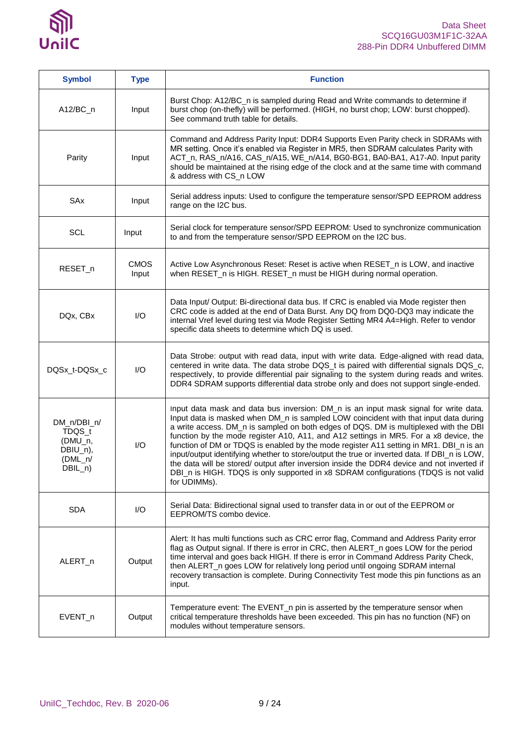

| <b>Symbol</b>                                                          | <b>Type</b>             | <b>Function</b>                                                                                                                                                                                                                                                                                                                                                                                                                                                                                                                                                                                                                                                                                                                                              |
|------------------------------------------------------------------------|-------------------------|--------------------------------------------------------------------------------------------------------------------------------------------------------------------------------------------------------------------------------------------------------------------------------------------------------------------------------------------------------------------------------------------------------------------------------------------------------------------------------------------------------------------------------------------------------------------------------------------------------------------------------------------------------------------------------------------------------------------------------------------------------------|
| $A12/BC_n$                                                             | Input                   | Burst Chop: A12/BC_n is sampled during Read and Write commands to determine if<br>burst chop (on-thefly) will be performed. (HIGH, no burst chop; LOW: burst chopped).<br>See command truth table for details.                                                                                                                                                                                                                                                                                                                                                                                                                                                                                                                                               |
| Parity                                                                 | Input                   | Command and Address Parity Input: DDR4 Supports Even Parity check in SDRAMs with<br>MR setting. Once it's enabled via Register in MR5, then SDRAM calculates Parity with<br>ACT_n, RAS_n/A16, CAS_n/A15, WE_n/A14, BG0-BG1, BA0-BA1, A17-A0. Input parity<br>should be maintained at the rising edge of the clock and at the same time with command<br>& address with CS_n LOW                                                                                                                                                                                                                                                                                                                                                                               |
| SAx                                                                    | Input                   | Serial address inputs: Used to configure the temperature sensor/SPD EEPROM address<br>range on the I2C bus.                                                                                                                                                                                                                                                                                                                                                                                                                                                                                                                                                                                                                                                  |
| SCL                                                                    | Input                   | Serial clock for temperature sensor/SPD EEPROM: Used to synchronize communication<br>to and from the temperature sensor/SPD EEPROM on the I2C bus.                                                                                                                                                                                                                                                                                                                                                                                                                                                                                                                                                                                                           |
| RESET_n                                                                | <b>CMOS</b><br>Input    | Active Low Asynchronous Reset: Reset is active when RESET_n is LOW, and inactive<br>when RESET_n is HIGH. RESET_n must be HIGH during normal operation.                                                                                                                                                                                                                                                                                                                                                                                                                                                                                                                                                                                                      |
| DQx, CBx                                                               | $\mathsf{I}/\mathsf{O}$ | Data Input/ Output: Bi-directional data bus. If CRC is enabled via Mode register then<br>CRC code is added at the end of Data Burst. Any DQ from DQ0-DQ3 may indicate the<br>internal Vref level during test via Mode Register Setting MR4 A4=High. Refer to vendor<br>specific data sheets to determine which DQ is used.                                                                                                                                                                                                                                                                                                                                                                                                                                   |
| DQSx_t-DQSx_c                                                          | I/O                     | Data Strobe: output with read data, input with write data. Edge-aligned with read data,<br>centered in write data. The data strobe DQS_t is paired with differential signals DQS_c,<br>respectively, to provide differential pair signaling to the system during reads and writes.<br>DDR4 SDRAM supports differential data strobe only and does not support single-ended.                                                                                                                                                                                                                                                                                                                                                                                   |
| DM_n/DBI_n/<br>TDQS_t<br>(DMU_n,<br>DBIU_n),<br>$(DML_n/$<br>$DBIL_n)$ | I/O                     | Input data mask and data bus inversion: DM_n is an input mask signal for write data.<br>Input data is masked when DM_n is sampled LOW coincident with that input data during<br>a write access. DM_n is sampled on both edges of DQS. DM is multiplexed with the DBI<br>function by the mode register A10, A11, and A12 settings in MR5. For a x8 device, the<br>function of DM or TDQS is enabled by the mode register A11 setting in MR1. DBI_n is an<br>input/output identifying whether to store/output the true or inverted data. If DBI_n is LOW,<br>the data will be stored/ output after inversion inside the DDR4 device and not inverted if<br>DBI_n is HIGH. TDQS is only supported in x8 SDRAM configurations (TDQS is not valid<br>for UDIMMs). |
| <b>SDA</b>                                                             | I/O                     | Serial Data: Bidirectional signal used to transfer data in or out of the EEPROM or<br>EEPROM/TS combo device.                                                                                                                                                                                                                                                                                                                                                                                                                                                                                                                                                                                                                                                |
| ALERT_n                                                                | Output                  | Alert: It has multi functions such as CRC error flag, Command and Address Parity error<br>flag as Output signal. If there is error in CRC, then ALERT_n goes LOW for the period<br>time interval and goes back HIGH. If there is error in Command Address Parity Check,<br>then ALERT_n goes LOW for relatively long period until ongoing SDRAM internal<br>recovery transaction is complete. During Connectivity Test mode this pin functions as an<br>input.                                                                                                                                                                                                                                                                                               |
| EVENT_n                                                                | Output                  | Temperature event: The EVENT_n pin is asserted by the temperature sensor when<br>critical temperature thresholds have been exceeded. This pin has no function (NF) on<br>modules without temperature sensors.                                                                                                                                                                                                                                                                                                                                                                                                                                                                                                                                                |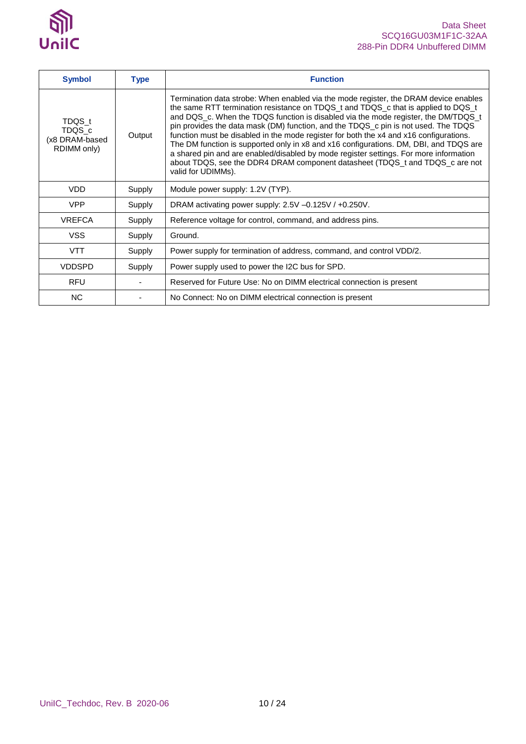

| <b>Symbol</b>                                     | <b>Type</b> | <b>Function</b>                                                                                                                                                                                                                                                                                                                                                                                                                                                                                                                                                                                                                                                                                                                         |
|---------------------------------------------------|-------------|-----------------------------------------------------------------------------------------------------------------------------------------------------------------------------------------------------------------------------------------------------------------------------------------------------------------------------------------------------------------------------------------------------------------------------------------------------------------------------------------------------------------------------------------------------------------------------------------------------------------------------------------------------------------------------------------------------------------------------------------|
| TDQS t<br>TDQS_c<br>(x8 DRAM-based<br>RDIMM only) | Output      | Termination data strobe: When enabled via the mode register, the DRAM device enables<br>the same RTT termination resistance on TDQS_t and TDQS_c that is applied to DQS_t<br>and DQS_c. When the TDQS function is disabled via the mode register, the DM/TDQS_t<br>pin provides the data mask (DM) function, and the TDQS_c pin is not used. The TDQS<br>function must be disabled in the mode register for both the x4 and x16 configurations.<br>The DM function is supported only in x8 and x16 configurations. DM, DBI, and TDQS are<br>a shared pin and are enabled/disabled by mode register settings. For more information<br>about TDQS, see the DDR4 DRAM component datasheet (TDQS_t and TDQS_c are not<br>valid for UDIMMs). |
| <b>VDD</b>                                        | Supply      | Module power supply: 1.2V (TYP).                                                                                                                                                                                                                                                                                                                                                                                                                                                                                                                                                                                                                                                                                                        |
| <b>VPP</b>                                        | Supply      | DRAM activating power supply: 2.5V -0.125V / +0.250V.                                                                                                                                                                                                                                                                                                                                                                                                                                                                                                                                                                                                                                                                                   |
| <b>VREFCA</b>                                     | Supply      | Reference voltage for control, command, and address pins.                                                                                                                                                                                                                                                                                                                                                                                                                                                                                                                                                                                                                                                                               |
| <b>VSS</b>                                        | Supply      | Ground.                                                                                                                                                                                                                                                                                                                                                                                                                                                                                                                                                                                                                                                                                                                                 |
| <b>VTT</b>                                        | Supply      | Power supply for termination of address, command, and control VDD/2.                                                                                                                                                                                                                                                                                                                                                                                                                                                                                                                                                                                                                                                                    |
| <b>VDDSPD</b>                                     | Supply      | Power supply used to power the I2C bus for SPD.                                                                                                                                                                                                                                                                                                                                                                                                                                                                                                                                                                                                                                                                                         |
| <b>RFU</b>                                        |             | Reserved for Future Use: No on DIMM electrical connection is present                                                                                                                                                                                                                                                                                                                                                                                                                                                                                                                                                                                                                                                                    |
| <b>NC</b>                                         |             | No Connect: No on DIMM electrical connection is present                                                                                                                                                                                                                                                                                                                                                                                                                                                                                                                                                                                                                                                                                 |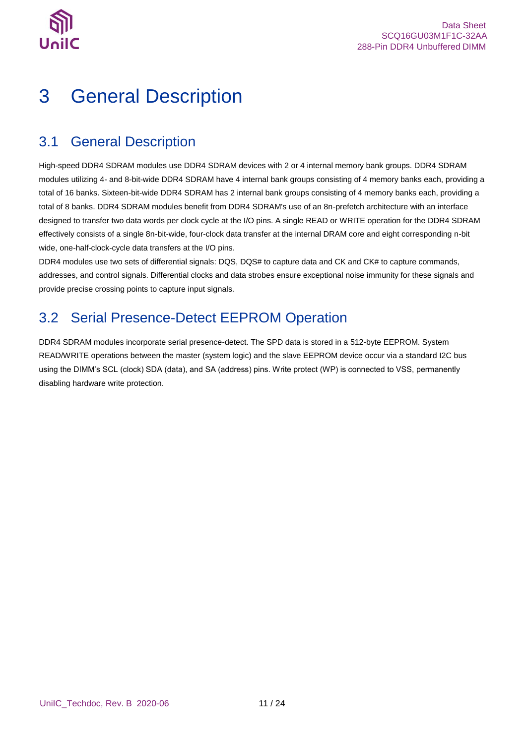

# <span id="page-10-0"></span>3 General Description

### <span id="page-10-1"></span>3.1 General Description

High-speed DDR4 SDRAM modules use DDR4 SDRAM devices with 2 or 4 internal memory bank groups. DDR4 SDRAM modules utilizing 4- and 8-bit-wide DDR4 SDRAM have 4 internal bank groups consisting of 4 memory banks each, providing a total of 16 banks. Sixteen-bit-wide DDR4 SDRAM has 2 internal bank groups consisting of 4 memory banks each, providing a total of 8 banks. DDR4 SDRAM modules benefit from DDR4 SDRAM's use of an 8n-prefetch architecture with an interface designed to transfer two data words per clock cycle at the I/O pins. A single READ or WRITE operation for the DDR4 SDRAM effectively consists of a single 8n-bit-wide, four-clock data transfer at the internal DRAM core and eight corresponding n-bit wide, one-half-clock-cycle data transfers at the I/O pins.

DDR4 modules use two sets of differential signals: DQS, DQS# to capture data and CK and CK# to capture commands, addresses, and control signals. Differential clocks and data strobes ensure exceptional noise immunity for these signals and provide precise crossing points to capture input signals.

## <span id="page-10-2"></span>3.2 Serial Presence-Detect EEPROM Operation

DDR4 SDRAM modules incorporate serial presence-detect. The SPD data is stored in a 512-byte EEPROM. System READ/WRITE operations between the master (system logic) and the slave EEPROM device occur via a standard I2C bus using the DIMM's SCL (clock) SDA (data), and SA (address) pins. Write protect (WP) is connected to VSS, permanently disabling hardware write protection.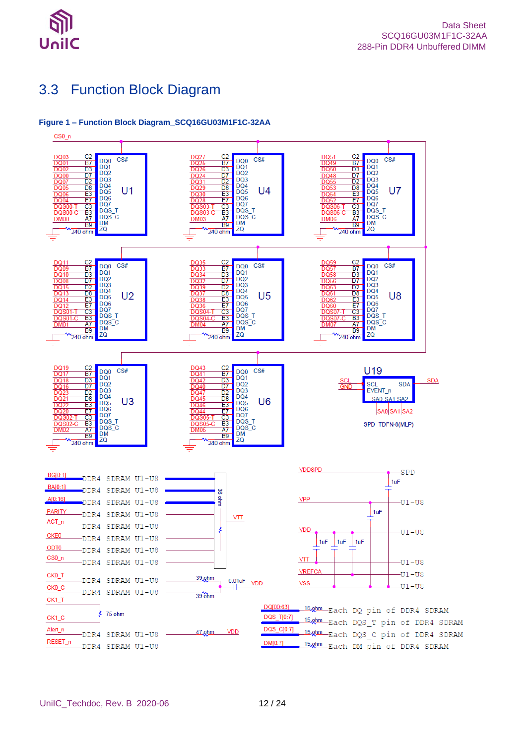

## <span id="page-11-0"></span>3.3 Function Block Diagram

### <span id="page-11-1"></span>**Figure 1 – Function Block Diagram\_SCQ16GU03M1F1C-32AA**

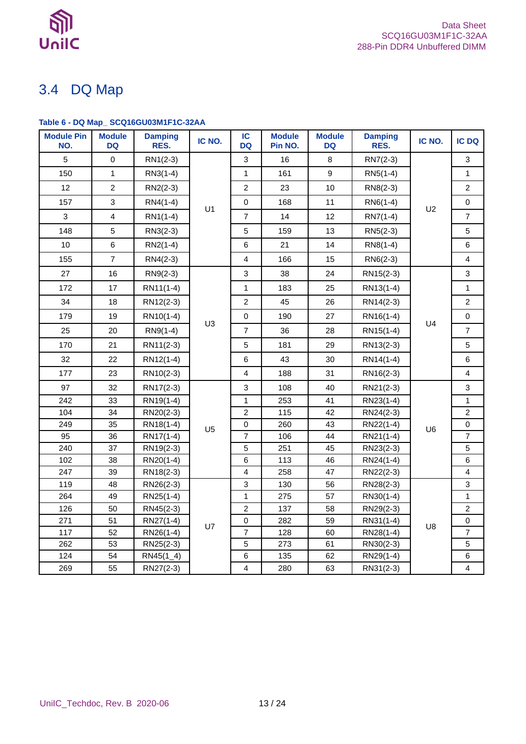

## <span id="page-12-0"></span>3.4 DQ Map

### <span id="page-12-1"></span>**Table 6 - DQ Map\_ SCQ16GU03M1F1C-32AA**

| <b>Module Pin</b><br>NO. | <b>Module</b><br><b>DQ</b> | <b>Damping</b><br>RES. | IC NO.         | IC<br><b>DQ</b>         | <b>Module</b><br>Pin NO. | <b>Module</b><br><b>DQ</b> | <b>Damping</b><br>RES. | IC NO.         | IC DQ                   |
|--------------------------|----------------------------|------------------------|----------------|-------------------------|--------------------------|----------------------------|------------------------|----------------|-------------------------|
| 5                        | $\mathbf 0$                | RN1(2-3)               |                | 3                       | 16                       | 8                          | RN7(2-3)               |                | 3                       |
| 150                      | $\mathbf{1}$               | RN3(1-4)               |                | $\mathbf{1}$            | 161                      | 9                          | RN5(1-4)               |                | $\mathbf{1}$            |
| 12                       | $\sqrt{2}$                 | RN2(2-3)               |                | $\mathbf 2$             | 23                       | 10                         | RN8(2-3)               |                | $\overline{c}$          |
| 157                      | $\mathsf 3$                | RN4(1-4)               |                | $\pmb{0}$               | 168                      | 11                         | RN6(1-4)               |                | $\pmb{0}$               |
| 3                        | $\overline{\mathbf{4}}$    | RN1(1-4)               | U <sub>1</sub> | $\boldsymbol{7}$        | 14                       | 12                         | RN7(1-4)               | U <sub>2</sub> | $\boldsymbol{7}$        |
| 148                      | $\sqrt{5}$                 | RN3(2-3)               |                | 5                       | 159                      | 13                         | RN5(2-3)               |                | 5                       |
| 10                       | $\,6\,$                    | $RN2(1-4)$             |                | $\,6$                   | 21                       | 14                         | RN8(1-4)               |                | 6                       |
| 155                      | $\overline{7}$             | RN4(2-3)               |                | $\overline{\mathbf{4}}$ | 166                      | 15                         | RN6(2-3)               |                | $\overline{4}$          |
| 27                       | 16                         | RN9(2-3)               |                | 3                       | 38                       | 24                         | RN15(2-3)              |                | 3                       |
| 172                      | 17                         | RN11(1-4)              |                | 1                       | 183                      | 25                         | RN13(1-4)              |                | $\mathbf{1}$            |
| 34                       | 18                         | RN12(2-3)              |                | $\overline{c}$          | 45                       | 26                         | RN14(2-3)              |                | $\overline{c}$          |
| 179                      | 19                         | RN10(1-4)              |                | $\mathsf 0$             | 190                      | 27                         | RN16(1-4)              |                | $\pmb{0}$               |
| 25                       | 20                         | RN9(1-4)               | U <sub>3</sub> | $\overline{7}$          | 36                       | 28                         | RN15(1-4)              | U <sub>4</sub> | $\overline{7}$          |
| 170                      | 21                         | RN11(2-3)              |                | 5                       | 181                      | 29                         | RN13(2-3)              |                | 5                       |
| 32                       | 22                         | RN12(1-4)              |                | $\,6$                   | 43                       | 30                         | RN14(1-4)              |                | $\,6$                   |
| 177                      | 23                         | RN10(2-3)              |                | $\overline{4}$          | 188                      | 31                         | RN16(2-3)              |                | 4                       |
| 97                       | 32                         | RN17(2-3)              |                | 3                       | 108                      | 40                         | RN21(2-3)              |                | 3                       |
| 242                      | 33                         | RN19(1-4)              |                | $\mathbf{1}$            | 253                      | 41                         | RN23(1-4)              |                | 1                       |
| 104                      | 34                         | RN20(2-3)              |                | $\overline{c}$          | 115                      | 42                         | RN24(2-3)              |                | $\overline{c}$          |
| 249                      | 35                         | RN18(1-4)              | U <sub>5</sub> | 0                       | 260                      | 43                         | RN22(1-4)              | U <sub>6</sub> | $\pmb{0}$               |
| 95                       | 36                         | RN17(1-4)              |                | $\overline{7}$          | 106                      | 44                         | RN21(1-4)              |                | $\overline{7}$          |
| 240                      | 37                         | RN19(2-3)              |                | 5                       | 251                      | 45                         | RN23(2-3)              |                | 5                       |
| 102                      | 38                         | RN20(1-4)              |                | $\,6$                   | 113                      | 46                         | RN24(1-4)              |                | $\,6$                   |
| 247                      | 39                         | RN18(2-3)              |                | $\overline{\mathbf{4}}$ | 258                      | 47                         | RN22(2-3)              |                | $\overline{\mathbf{4}}$ |
| 119                      | 48                         | RN26(2-3)              |                | 3                       | 130                      | 56                         | RN28(2-3)              |                | 3                       |
| 264                      | 49                         | RN25(1-4)              |                | $\mathbf{1}$            | 275                      | 57                         | RN30(1-4)              |                | $\mathbf{1}$            |
| 126                      | 50                         | RN45(2-3)              |                | $\overline{c}$          | 137                      | 58                         | RN29(2-3)              |                | $\overline{c}$          |
| 271                      | 51                         | RN27(1-4)              | U7             | $\pmb{0}$               | 282                      | 59                         | RN31(1-4)              | U8             | $\pmb{0}$               |
| 117                      | 52                         | RN26(1-4)              |                | $\overline{7}$          | 128                      | 60                         | RN28(1-4)              |                | $\overline{7}$          |
| 262                      | 53                         | RN25(2-3)              |                | 5                       | 273                      | 61                         | RN30(2-3)              |                | 5                       |
| 124                      | 54                         | $RN45(1_4)$            |                | 6                       | 135                      | 62                         | RN29(1-4)              |                | 6                       |
| 269                      | 55                         | RN27(2-3)              |                | $\overline{\mathbf{4}}$ | 280                      | 63                         | RN31(2-3)              |                | 4                       |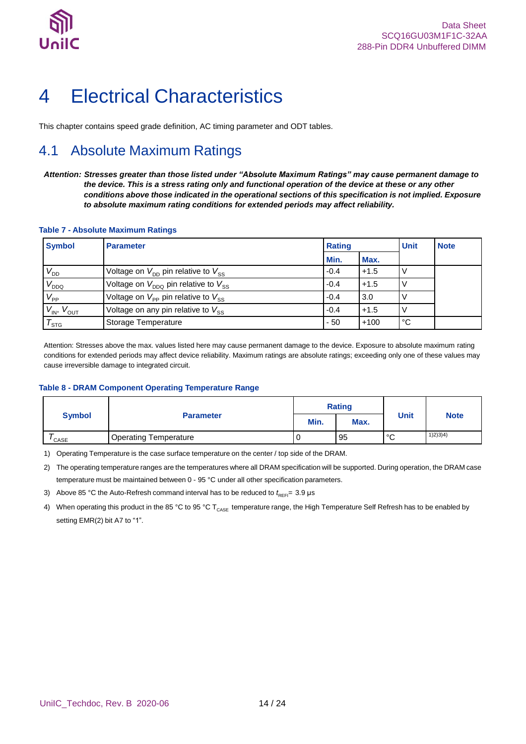

## <span id="page-13-0"></span>4 Electrical Characteristics

This chapter contains speed grade definition, AC timing parameter and ODT tables.

## <span id="page-13-1"></span>4.1 Absolute Maximum Ratings

*Attention: Stresses greater than those listed under "Absolute Maximum Ratings" may cause permanent damage to the device. This is a stress rating only and functional operation of the device at these or any other conditions above those indicated in the operational sections of this specification is not implied. Exposure to absolute maximum rating conditions for extended periods may affect reliability.*

#### <span id="page-13-2"></span>**Table 7 - Absolute Maximum Ratings**

| <b>Symbol</b>        | <b>Parameter</b>                                           | <b>Rating</b> | <b>Unit</b> | <b>Note</b> |  |
|----------------------|------------------------------------------------------------|---------------|-------------|-------------|--|
|                      |                                                            | Min.          | Max.        |             |  |
| $V_{DD}$             | Voltage on $V_{\text{DD}}$ pin relative to $V_{\text{SS}}$ | $-0.4$        | $+1.5$      |             |  |
| $V_{DDQ}$            | Voltage on $V_{DDO}$ pin relative to $V_{SS}$              | $-0.4$        | $+1.5$      |             |  |
| $V_{\mathsf{PP}}$    | Voltage on $V_{\text{PP}}$ pin relative to $V_{\text{SS}}$ | $-0.4$        | 3.0         |             |  |
| $V_{IN}$ , $V_{OUT}$ | Voltage on any pin relative to $V_{SS}$                    | $-0.4$        | $+1.5$      |             |  |
| $\tau_{\text{src}}$  | Storage Temperature                                        | $-50$         | $+100$      | °C          |  |

Attention: Stresses above the max. values listed here may cause permanent damage to the device. Exposure to absolute maximum rating conditions for extended periods may affect device reliability. Maximum ratings are absolute ratings; exceeding only one of these values may cause irreversible damage to integrated circuit.

#### <span id="page-13-3"></span>**Table 8 - DRAM Component Operating Temperature Range**

|                   |                              | <b>Rating</b> |      |             |             |
|-------------------|------------------------------|---------------|------|-------------|-------------|
| <b>Symbol</b>     | <b>Parameter</b>             | Min.          | Max. | <b>Unit</b> | <b>Note</b> |
| <sup>'</sup> CASE | <b>Operating Temperature</b> | υ             | 95   | °C          | 1)2)3)4)    |

1) Operating Temperature is the case surface temperature on the center / top side of the DRAM.

2) The operating temperature ranges are the temperatures where all DRAM specification will be supported. During operation, the DRAM case temperature must be maintained between 0 - 95 °C under all other specification parameters.

3) Above 85 °C the Auto-Refresh command interval has to be reduced to  $t_{\text{REF}}=3.9 \,\mu s$ 

4) When operating this product in the 85 °C to 95 °C T<sub>CASE</sub> temperature range, the High Temperature Self Refresh has to be enabled by setting EMR(2) bit A7 to "1".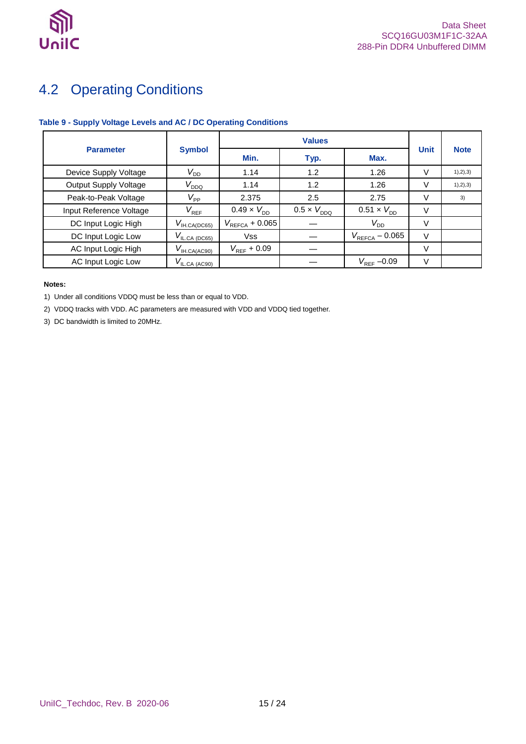

## <span id="page-14-0"></span>4.2 Operating Conditions

### <span id="page-14-1"></span>**Table 9 - Supply Voltage Levels and AC / DC Operating Conditions**

|                              |                                                 | <b>Values</b>               |                      |                            |             |             |
|------------------------------|-------------------------------------------------|-----------------------------|----------------------|----------------------------|-------------|-------------|
| <b>Parameter</b>             | <b>Symbol</b>                                   | Min.                        | Typ.                 | Max.                       | <b>Unit</b> | <b>Note</b> |
| Device Supply Voltage        | $V_{\mathsf{DD}}$                               | 1.14                        | 1.2                  | 1.26                       | V           | 1), 2), 3)  |
| <b>Output Supply Voltage</b> | $V_{DDQ}$                                       | 1.14                        | 1.2                  | 1.26                       |             | 1), 2), 3)  |
| Peak-to-Peak Voltage         | $V_{\mathsf{PP}}$                               | 2.375                       | 2.5                  | 2.75                       | V           | 3)          |
| Input Reference Voltage      | $V_{\mathsf{REF}}$                              | $0.49 \times V_{\text{DD}}$ | $0.5 \times V_{DDQ}$ | $0.51 \times V_{DD}$       | V           |             |
| DC Input Logic High          | $V_{\text{IH.CA(DC65)}}$                        | $V_{REFCA} + 0.065$         |                      | $V_{DD}$                   | V           |             |
| DC Input Logic Low           | $V_{\text{ILCA (DC65)}}$                        | <b>Vss</b>                  |                      | $V_{\text{REFCA}} - 0.065$ | V           |             |
| AC Input Logic High          | $V_{\mathsf{IH.CA}(\underline{\mathsf{AC90}})}$ | $V_{\text{RFF}}$ + 0.09     |                      |                            | V           |             |
| AC Input Logic Low           | $V_{\text{IL,CA (AC90)}}$                       |                             |                      | $V_{\text{RFF}} - 0.09$    | V           |             |

#### **Notes:**

1) Under all conditions VDDQ must be less than or equal to VDD.

2) VDDQ tracks with VDD. AC parameters are measured with VDD and VDDQ tied together.

3) DC bandwidth is limited to 20MHz.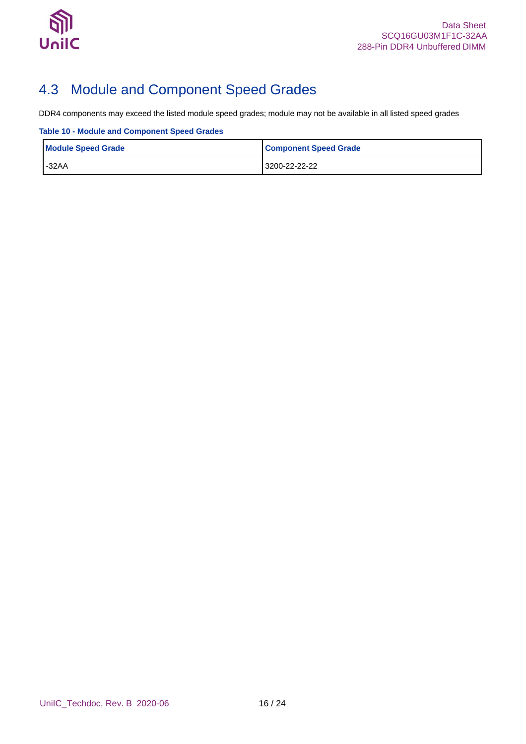

## <span id="page-15-0"></span>4.3 Module and Component Speed Grades

DDR4 components may exceed the listed module speed grades; module may not be available in all listed speed grades

<span id="page-15-1"></span>**Table 10 - Module and Component Speed Grades**

| <b>Module Speed Grade</b> | <b>Component Speed Grade</b> |  |
|---------------------------|------------------------------|--|
| $-32AA$                   | 3200-22-22-22                |  |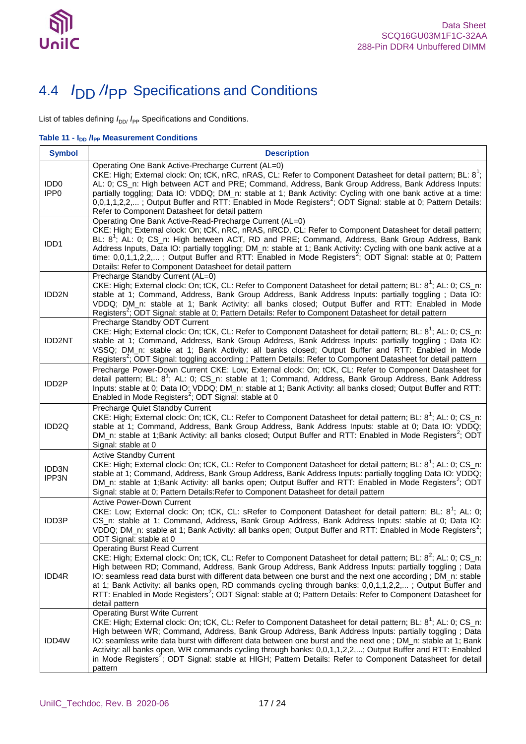

## <span id="page-16-0"></span>4.4 *I*DD */I*PP Specifications and Conditions

List of tables defining  $I_{DD}$ ,  $I_{PP}$  Specifications and Conditions.

<span id="page-16-1"></span>**Table 11 -**  $I_{DD}$  **/I<sub>PP</sub> Measurement Conditions** 

| <b>Symbol</b>                        | <b>Description</b>                                                                                                                                                                                                                                                                                                                                                                                                                                                                                                                                                                                                                                |
|--------------------------------------|---------------------------------------------------------------------------------------------------------------------------------------------------------------------------------------------------------------------------------------------------------------------------------------------------------------------------------------------------------------------------------------------------------------------------------------------------------------------------------------------------------------------------------------------------------------------------------------------------------------------------------------------------|
| IDD <sub>0</sub><br>IPP <sub>0</sub> | Operating One Bank Active-Precharge Current (AL=0)<br>CKE: High; External clock: On; tCK, nRC, nRAS, CL: Refer to Component Datasheet for detail pattern; BL: 8 <sup>1</sup> ;<br>AL: 0; CS_n: High between ACT and PRE; Command, Address, Bank Group Address, Bank Address Inputs:<br>partially toggling; Data IO: VDDQ; DM_n: stable at 1; Bank Activity: Cycling with one bank active at a time:<br>0,0,1,1,2,2,; Output Buffer and RTT: Enabled in Mode Registers <sup>2</sup> ; ODT Signal: stable at 0; Pattern Details:<br>Refer to Component Datasheet for detail pattern                                                                 |
| IDD1                                 | Operating One Bank Active-Read-Precharge Current (AL=0)<br>CKE: High; External clock: On; tCK, nRC, nRAS, nRCD, CL: Refer to Component Datasheet for detail pattern;<br>BL: 8 <sup>1</sup> ; AL: 0; CS_n: High between ACT, RD and PRE; Command, Address, Bank Group Address, Bank<br>Address Inputs, Data IO: partially toggling; DM_n: stable at 1; Bank Activity: Cycling with one bank active at a<br>time: $0,0,1,1,2,2,$ ; Output Buffer and RTT: Enabled in Mode Registers <sup>2</sup> ; ODT Signal: stable at 0; Pattern<br>Details: Refer to Component Datasheet for detail pattern                                                     |
| IDD2N                                | Precharge Standby Current (AL=0)<br>CKE: High; External clock: On; tCK, CL: Refer to Component Datasheet for detail pattern; BL: 8 <sup>1</sup> ; AL: 0; CS_n:<br>stable at 1; Command, Address, Bank Group Address, Bank Address Inputs: partially toggling; Data IO:<br>VDDQ; DM_n: stable at 1; Bank Activity: all banks closed; Output Buffer and RTT: Enabled in Mode<br>Registers <sup>2</sup> ; ODT Signal: stable at 0; Pattern Details: Refer to Component Datasheet for detail pattern                                                                                                                                                  |
| <b>IDD2NT</b>                        | Precharge Standby ODT Current<br>CKE: High; External clock: On; tCK, CL: Refer to Component Datasheet for detail pattern; BL: 8 <sup>1</sup> ; AL: 0; CS_n:<br>stable at 1; Command, Address, Bank Group Address, Bank Address Inputs: partially toggling; Data IO:<br>VSSQ; DM_n: stable at 1; Bank Activity: all banks closed; Output Buffer and RTT: Enabled in Mode<br>Registers <sup>2</sup> ; ODT Signal: toggling according; Pattern Details: Refer to Component Datasheet for detail pattern                                                                                                                                              |
| IDD <sub>2</sub> P                   | Precharge Power-Down Current CKE: Low; External clock: On; tCK, CL: Refer to Component Datasheet for<br>detail pattern; BL: 8 <sup>1</sup> ; AL: 0; CS_n: stable at 1; Command, Address, Bank Group Address, Bank Address<br>Inputs: stable at 0; Data IO: VDDQ; DM_n: stable at 1; Bank Activity: all banks closed; Output Buffer and RTT:<br>Enabled in Mode Registers <sup>2</sup> ; ODT Signal: stable at 0                                                                                                                                                                                                                                   |
| IDD <sub>2Q</sub>                    | Precharge Quiet Standby Current<br>CKE: High; External clock: On; tCK, CL: Refer to Component Datasheet for detail pattern; BL: 8 <sup>1</sup> ; AL: 0; CS_n:<br>stable at 1; Command, Address, Bank Group Address, Bank Address Inputs: stable at 0; Data IO: VDDQ;<br>DM_n: stable at 1;Bank Activity: all banks closed; Output Buffer and RTT: Enabled in Mode Registers <sup>2</sup> ; ODT<br>Signal: stable at 0                                                                                                                                                                                                                             |
| <b>IDD3N</b><br>IPP3N                | <b>Active Standby Current</b><br>CKE: High; External clock: On; tCK, CL: Refer to Component Datasheet for detail pattern; BL: 8 <sup>1</sup> ; AL: 0; CS_n:<br>stable at 1; Command, Address, Bank Group Address, Bank Address Inputs: partially toggling Data IO: VDDQ;<br>DM_n: stable at 1;Bank Activity: all banks open; Output Buffer and RTT: Enabled in Mode Registers <sup>2</sup> ; ODT<br>Signal: stable at 0; Pattern Details: Refer to Component Datasheet for detail pattern                                                                                                                                                         |
| <b>IDD3P</b>                         | <b>Active Power-Down Current</b><br>CKE: Low; External clock: On; tCK, CL: sRefer to Component Datasheet for detail pattern; BL: 8 <sup>1</sup> ; AL: 0;<br>CS_n: stable at 1; Command, Address, Bank Group Address, Bank Address Inputs: stable at 0; Data IO:<br>VDDQ; DM_n: stable at 1; Bank Activity: all banks open; Output Buffer and RTT: Enabled in Mode Registers <sup>2</sup> ;<br>ODT Signal: stable at 0                                                                                                                                                                                                                             |
| IDD4R                                | <b>Operating Burst Read Current</b><br>CKE: High; External clock: On; tCK, CL: Refer to Component Datasheet for detail pattern; BL: 8 <sup>2</sup> ; AL: 0; CS_n:<br>High between RD; Command, Address, Bank Group Address, Bank Address Inputs: partially toggling; Data<br>IO: seamless read data burst with different data between one burst and the next one according; DM_n: stable<br>at 1; Bank Activity: all banks open, RD commands cycling through banks: 0,0,1,1,2,2,; Output Buffer and<br>RTT: Enabled in Mode Registers <sup>2</sup> ; ODT Signal: stable at 0; Pattern Details: Refer to Component Datasheet for<br>detail pattern |
| IDD4W                                | <b>Operating Burst Write Current</b><br>CKE: High; External clock: On; tCK, CL: Refer to Component Datasheet for detail pattern; BL: 8 <sup>1</sup> ; AL: 0; CS_n:<br>High between WR; Command, Address, Bank Group Address, Bank Address Inputs: partially toggling; Data<br>IO: seamless write data burst with different data between one burst and the next one; DM_n: stable at 1; Bank<br>Activity: all banks open, WR commands cycling through banks: 0,0,1,1,2,2,; Output Buffer and RTT: Enabled<br>in Mode Registers <sup>2</sup> ; ODT Signal: stable at HIGH; Pattern Details: Refer to Component Datasheet for detail<br>pattern      |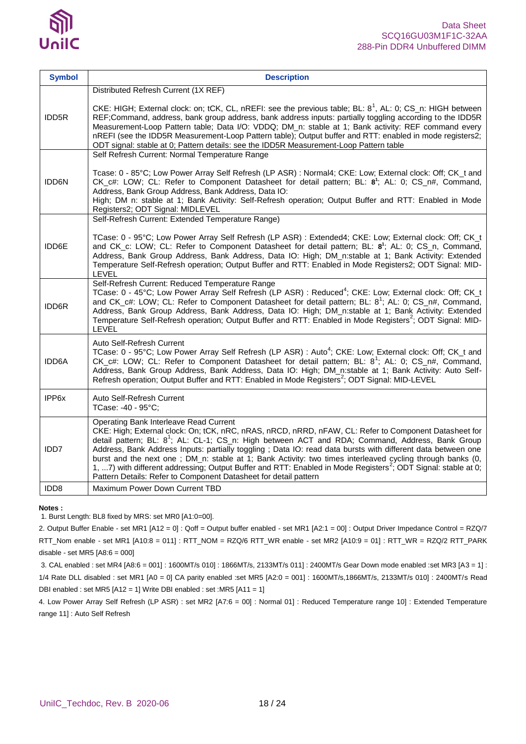

| <b>Symbol</b>    | <b>Description</b>                                                                                                                                                                                                                                                                                                                                                                                                                                                                                                                                                                                                                                                                          |
|------------------|---------------------------------------------------------------------------------------------------------------------------------------------------------------------------------------------------------------------------------------------------------------------------------------------------------------------------------------------------------------------------------------------------------------------------------------------------------------------------------------------------------------------------------------------------------------------------------------------------------------------------------------------------------------------------------------------|
| <b>IDD5R</b>     | Distributed Refresh Current (1X REF)<br>CKE: HIGH; External clock: on; tCK, CL, nREFI: see the previous table; BL: $8^1$ , AL: 0; CS n: HIGH between<br>REF;Command, address, bank group address, bank address inputs: partially toggling according to the IDD5R<br>Measurement-Loop Pattern table; Data I/O: VDDQ; DM_n: stable at 1; Bank activity: REF command every<br>nREFI (see the IDD5R Measurement-Loop Pattern table); Output buffer and RTT: enabled in mode registers2;<br>ODT signal: stable at 0; Pattern details: see the IDD5R Measurement-Loop Pattern table                                                                                                               |
| <b>IDD6N</b>     | Self Refresh Current: Normal Temperature Range<br>Tcase: 0 - 85°C; Low Power Array Self Refresh (LP ASR) : Normal4; CKE: Low; External clock: Off; CK_t and<br>CK_c#: LOW; CL: Refer to Component Datasheet for detail pattern; BL: 8 <sup>1</sup> ; AL: 0; CS_n#, Command,<br>Address, Bank Group Address, Bank Address, Data IO:<br>High; DM n: stable at 1; Bank Activity: Self-Refresh operation; Output Buffer and RTT: Enabled in Mode<br>Registers2; ODT Signal: MIDLEVEL                                                                                                                                                                                                            |
| IDD6E            | Self-Refresh Current: Extended Temperature Range)<br>TCase: 0 - 95°C; Low Power Array Self Refresh (LP ASR) : Extended4; CKE: Low; External clock: Off; CK_t<br>and CK_c: LOW; CL: Refer to Component Datasheet for detail pattern; BL: 8 <sup>1</sup> ; AL: 0; CS_n, Command,<br>Address, Bank Group Address, Bank Address, Data IO: High; DM_n:stable at 1; Bank Activity: Extended<br>Temperature Self-Refresh operation; Output Buffer and RTT: Enabled in Mode Registers2; ODT Signal: MID-<br>LEVEL                                                                                                                                                                                   |
| <b>IDD6R</b>     | Self-Refresh Current: Reduced Temperature Range<br>TCase: 0 - 45°C; Low Power Array Self Refresh (LP ASR) : Reduced <sup>4</sup> ; CKE: Low; External clock: Off; CK_t<br>and CK_c#: LOW; CL: Refer to Component Datasheet for detail pattern; BL: 8 <sup>1</sup> ; AL: 0; CS_n#, Command,<br>Address, Bank Group Address, Bank Address, Data IO: High; DM_n:stable at 1; Bank Activity: Extended<br>Temperature Self-Refresh operation; Output Buffer and RTT: Enabled in Mode Registers <sup>2</sup> ; ODT Signal: MID-<br>LEVEL                                                                                                                                                          |
| <b>IDD6A</b>     | Auto Self-Refresh Current<br>TCase: 0 - 95°C; Low Power Array Self Refresh (LP ASR) : Auto <sup>4</sup> ; CKE: Low; External clock: Off; CK_t and<br>CK_c#: LOW; CL: Refer to Component Datasheet for detail pattern; BL: 8 <sup>1</sup> ; AL: 0; CS_n#, Command,<br>Address, Bank Group Address, Bank Address, Data IO: High; DM_n:stable at 1; Bank Activity: Auto Self-<br>Refresh operation; Output Buffer and RTT: Enabled in Mode Registers <sup>2</sup> ; ODT Signal: MID-LEVEL                                                                                                                                                                                                      |
| IPP6x            | Auto Self-Refresh Current<br>TCase: -40 - 95°C;                                                                                                                                                                                                                                                                                                                                                                                                                                                                                                                                                                                                                                             |
| IDD7             | Operating Bank Interleave Read Current<br>CKE: High; External clock: On; tCK, nRC, nRAS, nRCD, nRRD, nFAW, CL: Refer to Component Datasheet for<br>detail pattern; BL: 8 <sup>1</sup> ; AL: CL-1; CS_n: High between ACT and RDA; Command, Address, Bank Group<br>Address, Bank Address Inputs: partially toggling; Data IO: read data bursts with different data between one<br>burst and the next one; DM_n: stable at 1; Bank Activity: two times interleaved cycling through banks (0,<br>1, 7) with different addressing; Output Buffer and RTT: Enabled in Mode Registers <sup>2</sup> ; ODT Signal: stable at 0;<br>Pattern Details: Refer to Component Datasheet for detail pattern |
| IDD <sub>8</sub> | Maximum Power Down Current TBD                                                                                                                                                                                                                                                                                                                                                                                                                                                                                                                                                                                                                                                              |

**Notes :**

1. Burst Length: BL8 fixed by MRS: set MR0 [A1:0=00].

2. Output Buffer Enable - set MR1 [A12 = 0] : Qoff = Output buffer enabled - set MR1 [A2:1 = 00] : Output Driver Impedance Control = RZQ/7 RTT\_Nom enable - set MR1 [A10:8 = 011] : RTT\_NOM = RZQ/6 RTT\_WR enable - set MR2 [A10:9 = 01] : RTT\_WR = RZQ/2 RTT\_PARK disable - set MR5 [A8:6 = 000]

3. CAL enabled : set MR4 [A8:6 = 001] : 1600MT/s 010] : 1866MT/s, 2133MT/s 011] : 2400MT/s Gear Down mode enabled :set MR3 [A3 = 1] : 1/4 Rate DLL disabled : set MR1 [A0 = 0] CA parity enabled :set MR5 [A2:0 = 001] : 1600MT/s,1866MT/s, 2133MT/s 010] : 2400MT/s Read DBI enabled : set MR5 [A12 = 1] Write DBI enabled : set :MR5 [A11 = 1]

4. Low Power Array Self Refresh (LP ASR) : set MR2 [A7:6 = 00] : Normal 01] : Reduced Temperature range 10] : Extended Temperature range 11] : Auto Self Refresh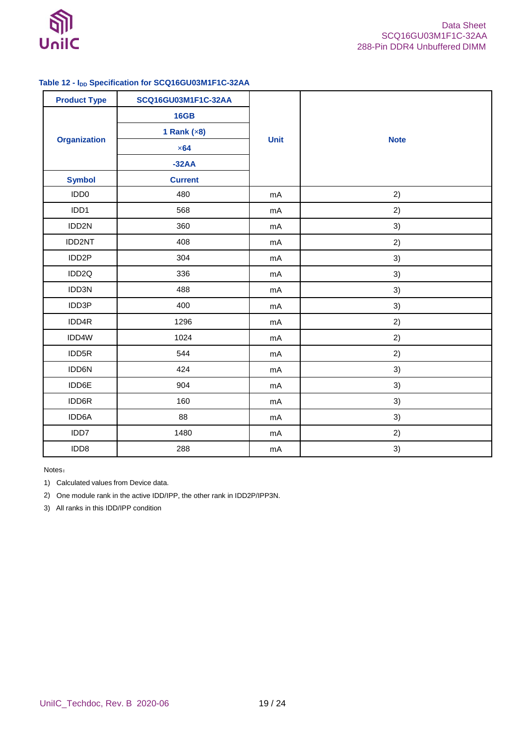

### <span id="page-18-0"></span>**Table 12 - IDD Specification for SCQ16GU03M1F1C-32AA**

| <b>Product Type</b> | SCQ16GU03M1F1C-32AA |             |             |  |
|---------------------|---------------------|-------------|-------------|--|
| <b>Organization</b> | <b>16GB</b>         | <b>Unit</b> |             |  |
|                     | 1 Rank $(x8)$       |             | <b>Note</b> |  |
|                     | $\times 64$         |             |             |  |
|                     | $-32AA$             |             |             |  |
| <b>Symbol</b>       | <b>Current</b>      |             |             |  |
| IDD <sub>0</sub>    | 480                 | mA          | 2)          |  |
| IDD1                | 568                 | mA          | 2)          |  |
| IDD2N               | 360                 | mA          | 3)          |  |
| IDD2NT              | 408                 | mA          | 2)          |  |
| IDD2P               | 304                 | mA          | 3)          |  |
| IDD2Q               | 336                 | mA          | 3)          |  |
| IDD3N               | 488                 | mA          | 3)          |  |
| IDD3P               | 400                 | mA          | 3)          |  |
| IDD4R               | 1296                | mA          | 2)          |  |
| IDD4W               | 1024                | mA          | 2)          |  |
| IDD5R               | 544                 | mA          | 2)          |  |
| IDD6N               | 424                 | mA          | 3)          |  |
| IDD6E               | 904                 | mA          | 3)          |  |
| IDD6R               | 160                 | mA          | 3)          |  |
| IDD6A               | 88                  | mA          | 3)          |  |
| IDD7                | 1480                | mA          | 2)          |  |
| IDD8                | 288                 | mA          | 3)          |  |

Notes:

1) Calculated values from Device data.

2) One module rank in the active IDD/IPP, the other rank in IDD2P/IPP3N.

3) All ranks in this IDD/IPP condition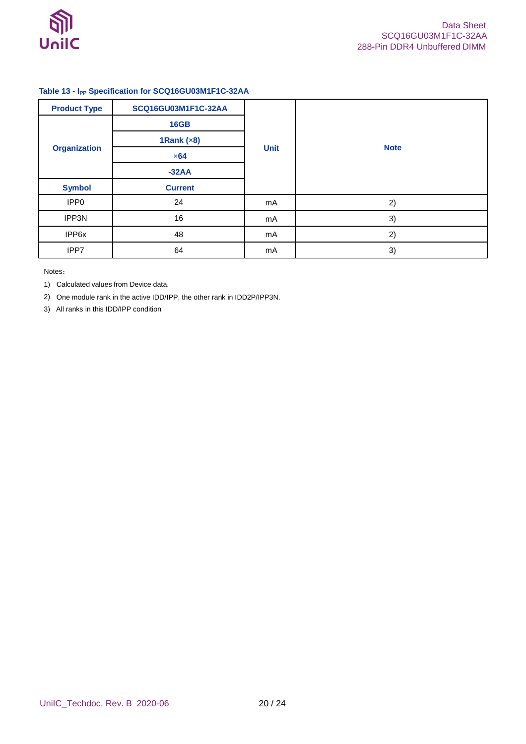

### <span id="page-19-0"></span>**Table 13 - IPP Specification for SCQ16GU03M1F1C-32AA**

| <b>Product Type</b> | SCQ16GU03M1F1C-32AA |             |             |
|---------------------|---------------------|-------------|-------------|
| <b>Organization</b> | <b>16GB</b>         | <b>Unit</b> | <b>Note</b> |
|                     | 1Rank $(x8)$        |             |             |
|                     | $\times 64$         |             |             |
|                     | $-32AA$             |             |             |
| <b>Symbol</b>       | <b>Current</b>      |             |             |
| IPP <sub>0</sub>    | 24                  | mA          | 2)          |
| IPP3N               | 16                  | mA          | 3)          |
| IPP6x               | 48                  | mA          | 2)          |
| IPP7                | 64                  | mA          | 3)          |

Notes:

1) Calculated values from Device data.

2) One module rank in the active IDD/IPP, the other rank in IDD2P/IPP3N.

3) All ranks in this IDD/IPP condition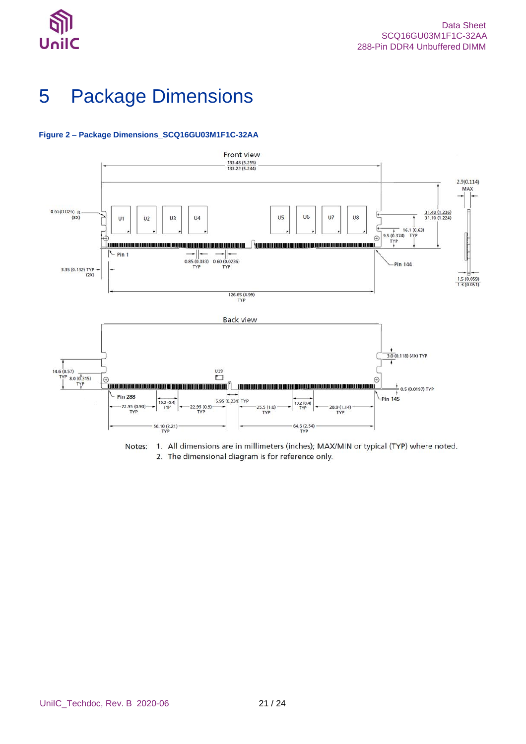

# <span id="page-20-0"></span>5 Package Dimensions

#### <span id="page-20-1"></span>**Figure 2 – Package Dimensions\_SCQ16GU03M1F1C-32AA**



Notes: 1. All dimensions are in millimeters (inches); MAX/MIN or typical (TYP) where noted. 2. The dimensional diagram is for reference only.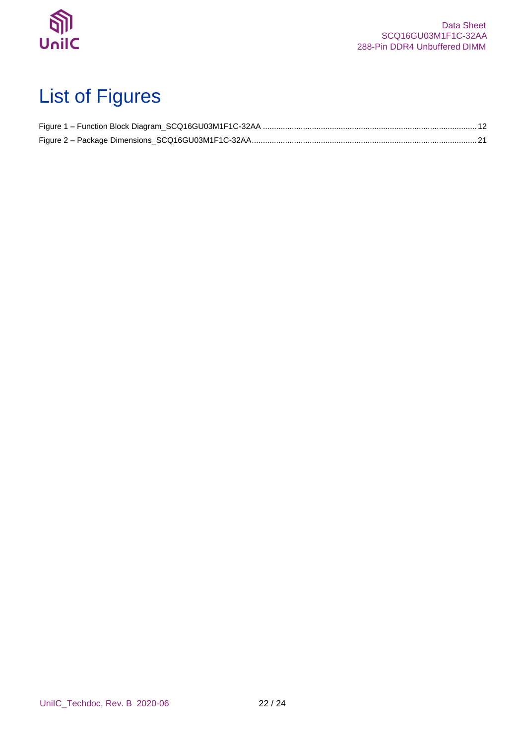

# <span id="page-21-0"></span>List of Figures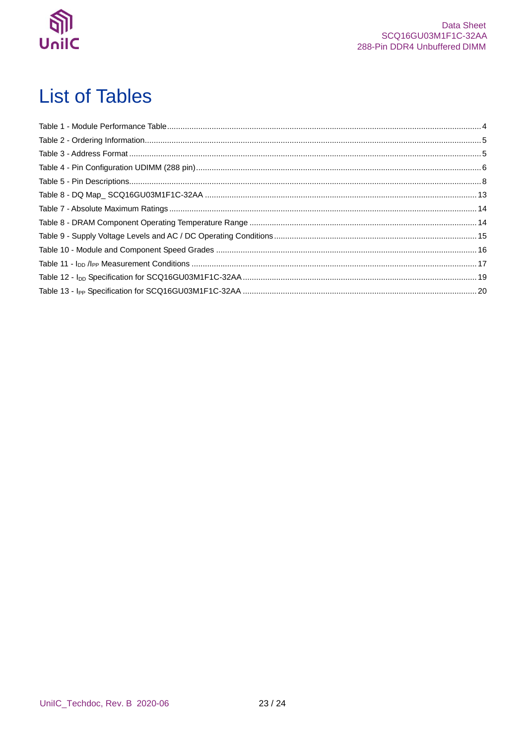

# <span id="page-22-0"></span>**List of Tables**